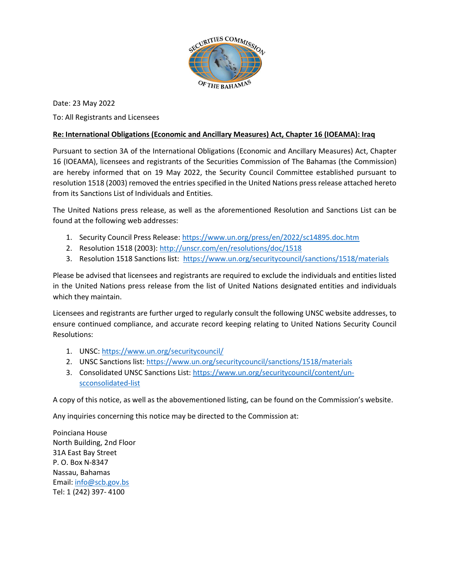

Date: 23 May 2022 To: All Registrants and Licensees

#### Re: International Obligations (Economic and Ancillary Measures) Act, Chapter 16 (IOEAMA): Iraq

16 (IOEAMA), licensees and registrants of the Securities Commission of The Bahamas (the Commission) are hereby informed that on 19 May 2022, the Security Council Committee established pursuant to resolution 1518 (2003) removed the entries specified in the United Nations press release attached hereto from its Sanctions List of Individuals and Entities. Pursuant to section 3A of the International Obligations (Economic and Ancillary Measures) Act, Chapter

The United Nations press release, as well as the aforementioned Resolution and Sanctions List can be found at the following web addresses:

- 1. Security Council Press Release: https://www.un.org/press/en/2022/sc14895.doc.htm
- 2. Resolution 1518 (2003): http://unscr.com/en/resolutions/doc/1518
- 3. Resolution 1518 Sanctions list: https://www.un.org/securitycouncil/sanctions/1518/materials

Please be advised that licensees and registrants are required to exclude the individuals and entities listed in the United Nations press release from the list of United Nations designated entities and individuals which they maintain.

Licensees and registrants are further urged to regularly consult the following UNSC website addresses, to ensure continued compliance, and accurate record keeping relating to United Nations Security Council Resolutions:

- 1. UNSC: https://www.un.org/securitycouncil/
- 2. UNSC Sanctions list: https://www.un.org/securitycouncil/sanctions/1518/materials
- 3. Consolidated UNSC Sanctions List: https://www.un.org/securitycouncil/content/unscconsolidated-list

A copy of this notice, as well as the abovementioned listing, can be found on the Commission's website.

Any inquiries concerning this notice may be directed to the Commission at:

Poinciana House North Building, 2nd Floor 31A East Bay Street P. O. Box N-8347 Nassau, Bahamas Email: info@scb.gov.bs Tel: 1 (242) 397- 4100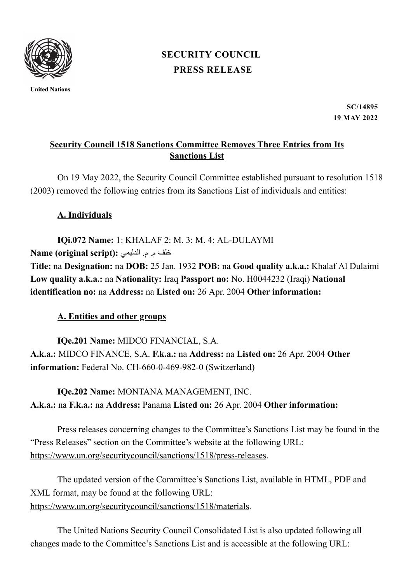

**United Nations**

# **PRESS [RELEASE](https://www.un.org/press/en/press-release) [SECURITY](https://www.un.org/press/en/security-council) COUNCIL**

**SC/14895 19 MAY 2022**

### **Security Council 1518 Sanctions Committee Removes Three Entries from Its Sanctions List**

On 19 May 2022, the Security Council Committee established pursuant to resolution 1518 (2003) removed the following entries from its Sanctions List of individuals and entities:

# **A. Individuals**

**IQi.072 Name:** 1: KHALAF 2: M. 3: M. 4: AL-DULAYMI خلف م. م. الدليمي **:(script original (Name Title:** na **Designation:** na **DOB:** 25 Jan. 1932 **POB:** na **Good quality a.k.a.:** Khalaf Al Dulaimi **Low quality a.k.a.:** na **Nationality:** Iraq **Passport no:** No. H0044232 (Iraqi) **National identification no:** na **Address:** na **Listed on:** 26 Apr. 2004 **Other information:**

# **A. Entities and other groups**

**IQe.201 Name:** MIDCO FINANCIAL, S.A. **A.k.a.:** MIDCO FINANCE, S.A. **F.k.a.:** na **Address:** na **Listed on:** 26 Apr. 2004 **Other information:** Federal No. CH-660-0-469-982-0 (Switzerland)

**IQe.202 Name:** MONTANA MANAGEMENT, INC. **A.k.a.:** na **F.k.a.:** na **Address:** Panama **Listed on:** 26 Apr. 2004 **Other information:**

Press releases concerning changes to the Committee's Sanctions List may be found in the "Press Releases" section on the Committee's website at the following URL: <https://www.un.org/securitycouncil/sanctions/1518/press-releases>.

The updated version of the Committee's Sanctions List, available in HTML, PDF and XML format, may be found at the following URL:

[https://www.un.org/securitycouncil/sanctions/1518/materials.](https://c/Users/emelie.hellborg/AppData/Local/Microsoft/Windows/INetCache/Content.Outlook/WEG9Y1ST/%20https:/www.un.org/securitycouncil/sanctions/1518/materials)

The United Nations Security Council Consolidated List is also updated following all changes made to the Committee's Sanctions List and is accessible at the following URL: